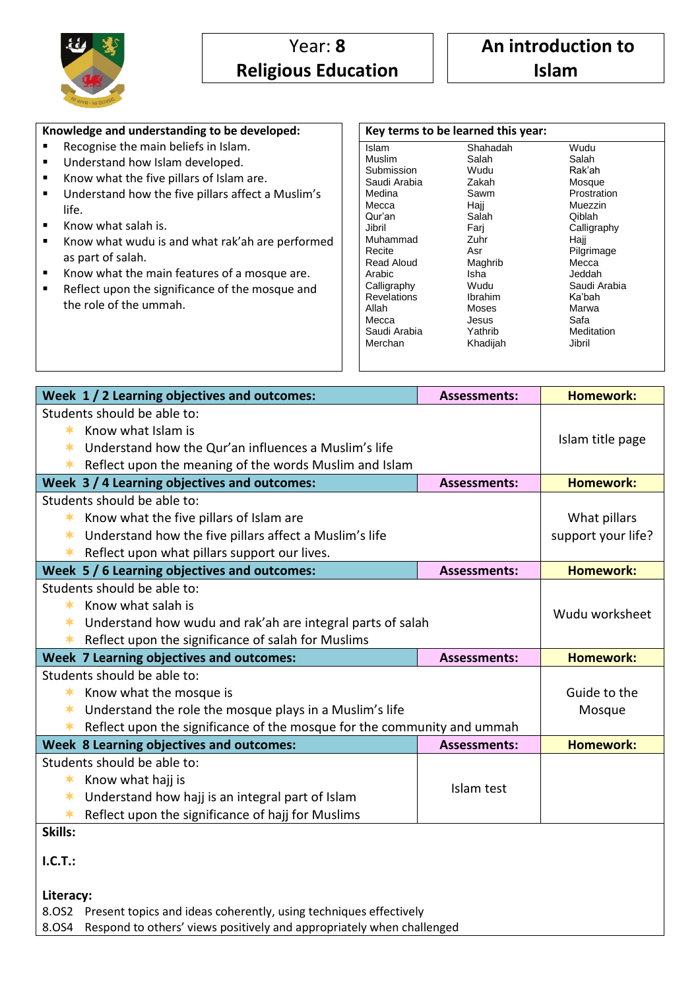

## **Knowledge and understanding to be developed:**

- Recognise the main beliefs in Islam.
- Understand how Islam developed.
- Know what the five pillars of Islam are.
- **Understand how the five pillars affect a Muslim's** life.
- Know what salah is.
- Know what wudu is and what rak'ah are performed as part of salah.
- Know what the main features of a mosque are.
- Reflect upon the significance of the mosque and the role of the ummah.

| Key terms to be learned this year: |          |              |  |
|------------------------------------|----------|--------------|--|
| Islam                              | Shahadah | Wudu         |  |
| Muslim                             | Salah    | Salah        |  |
| Submission                         | Wudu     | Rak'ah       |  |
| Saudi Arabia                       | Zakah    | Mosque       |  |
| Medina                             | Sawm     | Prostration  |  |
| Mecca                              | Hajj     | Muezzin      |  |
| Qur'an                             | Salah    | Qiblah       |  |
| Jibril                             | Fari     | Calligraphy  |  |
| Muhammad                           | Zuhr     | Haji         |  |
| Recite                             | Asr      | Pilgrimage   |  |
| Read Aloud                         | Maghrib  | Mecca        |  |
| Arabic                             | Isha     | Jeddah       |  |
| Calligraphy                        | Wudu     | Saudi Arabia |  |
| Revelations                        | Ibrahim  | Ka'bah       |  |
| Allah                              | Moses    | Marwa        |  |
| Mecca                              | Jesus    | Safa         |  |
| Saudi Arabia                       | Yathrib  | Meditation   |  |
| Merchan                            | Khadijah | Jibril       |  |
|                                    |          |              |  |

| Week 1/2 Learning objectives and outcomes:                                        | <b>Assessments:</b>                                                         | <b>Homework:</b>   |  |  |
|-----------------------------------------------------------------------------------|-----------------------------------------------------------------------------|--------------------|--|--|
| Students should be able to:                                                       |                                                                             |                    |  |  |
| Know what Islam is<br>$\ast$                                                      |                                                                             |                    |  |  |
| Understand how the Qur'an influences a Muslim's life<br>$\ast$                    | Islam title page                                                            |                    |  |  |
| Reflect upon the meaning of the words Muslim and Islam<br>∗                       |                                                                             |                    |  |  |
| Week 3 / 4 Learning objectives and outcomes:                                      | <b>Assessments:</b>                                                         | <b>Homework:</b>   |  |  |
| Students should be able to:                                                       |                                                                             |                    |  |  |
| Know what the five pillars of Islam are<br>∗                                      |                                                                             | What pillars       |  |  |
| Understand how the five pillars affect a Muslim's life<br>∗                       |                                                                             | support your life? |  |  |
| Reflect upon what pillars support our lives.<br>∗                                 |                                                                             |                    |  |  |
| Week 5 / 6 Learning objectives and outcomes:                                      | <b>Assessments:</b>                                                         | <b>Homework:</b>   |  |  |
| Students should be able to:                                                       |                                                                             |                    |  |  |
| Know what salah is<br>$\ast$                                                      | Wudu worksheet                                                              |                    |  |  |
| Understand how wudu and rak'ah are integral parts of salah                        |                                                                             |                    |  |  |
| Reflect upon the significance of salah for Muslims<br>∗                           |                                                                             |                    |  |  |
| Week 7 Learning objectives and outcomes:                                          | <b>Assessments:</b>                                                         | <b>Homework:</b>   |  |  |
| Students should be able to:                                                       | Guide to the                                                                |                    |  |  |
| ∗                                                                                 | Know what the mosque is                                                     |                    |  |  |
| Understand the role the mosque plays in a Muslim's life<br>ж                      |                                                                             | Mosque             |  |  |
| Reflect upon the significance of the mosque for the community and ummah<br>$\ast$ |                                                                             |                    |  |  |
| Week 8 Learning objectives and outcomes:                                          | <b>Assessments:</b>                                                         | <b>Homework:</b>   |  |  |
| Students should be able to:                                                       |                                                                             |                    |  |  |
| Know what hajj is<br>$\ast$                                                       | Islam test                                                                  |                    |  |  |
| Understand how hajj is an integral part of Islam<br>∗                             |                                                                             |                    |  |  |
| Reflect upon the significance of hajj for Muslims<br>∗                            |                                                                             |                    |  |  |
| Skills:                                                                           |                                                                             |                    |  |  |
| I.C.T.:                                                                           |                                                                             |                    |  |  |
|                                                                                   |                                                                             |                    |  |  |
| Literacy:                                                                         |                                                                             |                    |  |  |
| 8.0S2 Present topics and ideas coherently, using techniques effectively           |                                                                             |                    |  |  |
|                                                                                   | 8.0S4 Respond to others' views positively and appropriately when challenged |                    |  |  |